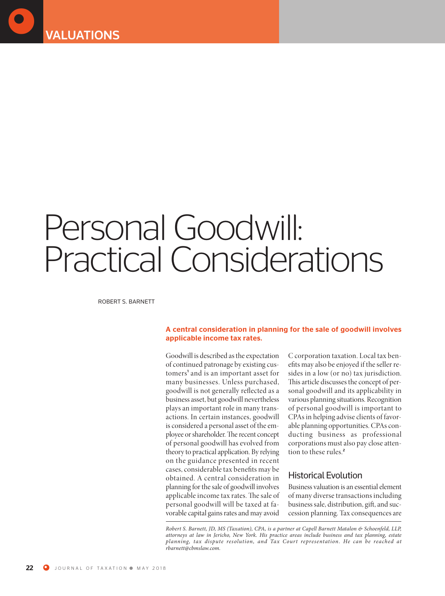

# Personal Goodwill: Practical Considerations

ROBERT S. BARNETT

#### **A central consideration in planning for the sale of goodwill involves applicable income tax rates.**

Goodwill is described as the expectation of continued patronage by existing customers **<sup>1</sup>** and is an important asset for many businesses. Unless purchased, goodwill is not generally reflected as a business asset, but goodwill nevertheless plays an important role in many transactions. In certain instances, goodwill is considered a personal asset of the employee or shareholder. The recent concept of personal goodwill has evolved from theory to practical application. By relying on the guidance presented in recent cases, considerable tax benefits may be obtained. A central consideration in planning for the sale of goodwill involves applicable income tax rates. The sale of personal goodwill will be taxed at favorable capital gains rates and may avoid C corporation taxation. Local tax benefits may also be enjoyed if the seller resides in a low (or no) tax jurisdiction. This article discusses the concept of personal goodwill and its applicability in various planning situations. Recognition of personal goodwill is important to CPAs in helping advise clients of favorable planning opportunities. CPAs conducting business as professional corporations must also pay close attention to these rules. **2**

#### **Historical Evolution**

Business valuation is an essential element of many diverse transactions including business sale, distribution, gift, and succession planning. Tax consequences are

*Robert S. Barnett, JD, MS (Taxation), CPA, is a partner at Capell Barnett Matalon & Schoenfeld, LLP, attorneys at law in Jericho, New York. His practice areas include business and tax planning, estate planning, tax dispute resolution, and Tax Court representation. He can be reached at rbarnett@cbmslaw.com.*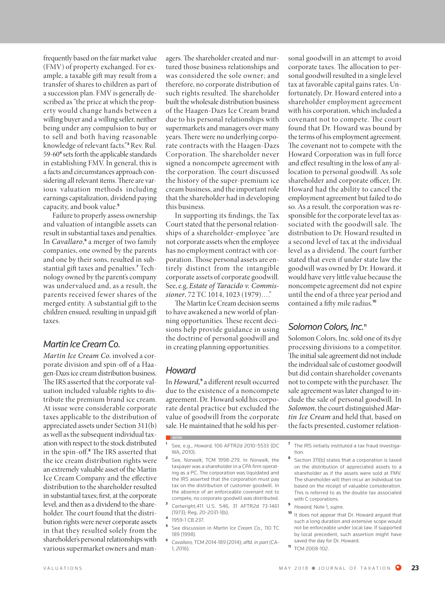frequently based on the fair market value (FMV) of property exchanged. For example, a taxable gift may result from a transfer of shares to children as part of a succession plan. FMV is generally described as "the price at which the property would change hands between a willing buyer and a willing seller, neither being under any compulsion to buy or to sell and both having reasonable knowledge of relevant facts." **<sup>3</sup>** Rev. Rul. 59-60<sup>4</sup> sets forth the applicable standards in establishing FMV. In general, this is a facts and circumstances approach considering all relevant items. There are various valuation methods including earnings capitalization, dividend paying capacity, and book value. **5**

Failure to properly assess ownership and valuation of intangible assets can result in substantial taxes and penalties. In *Cavallaro*,<sup>6</sup> a merger of two family companies, one owned by the parents and one by their sons, resulted in substantial gift taxes and penalties.<sup>7</sup> Technology owned by the parent'scompany was undervalued and, as a result, the parents received fewer shares of the merged entity. A substantial gift to the children ensued, resulting in unpaid gi taxes.

#### *Martin IceCream Co.*

*Martin Ice Cream Co.* involved a corporate division and spin-off of a Haagen-Dazs ice cream distribution business. The IRS asserted that the corporate valuation included valuable rights to distribute the premium brand ice cream. At issue were considerable corporate taxes applicable to the distribution of appreciated assets under Section 311(b) as well as the subsequent individual taxation with respect to the stock distributed in the spin-off.<sup>8</sup> The IRS asserted that the ice cream distribution rights were an extremely valuable asset of the Martin Ice Cream Company and the effective distribution to the shareholder resulted in substantial taxes; first, at the corporate level, and then as a dividend to the shareholder. The court found that the distribution rights were never corporate assets in that they resulted solely from the shareholder's personal relationships with various supermarket owners and man-

agers. The shareholder created and nurtured those business relationships and was considered the sole owner; and therefore, no corporate distribution of such rights resulted. The shareholder built the wholesale distribution business of the Haagen-Dazs Ice Cream brand due to his personal relationships with supermarkets and managers over many years. There were no underlying corporate contracts with the Haagen-Dazs Corporation. The shareholder never signed a noncompete agreement with the corporation. The court discussed the history of the super-premium ice cream business, and the important role that the shareholder had in developing this business.

In supporting its findings, the Tax Court stated that the personal relationships of a shareholder-employee "are not corporate assets when the employee has no employment contract with corporation. Those personal assets are entirely distinct from the intangible corporate assets of corporate goodwill. See,e.g, *Estate of Taracido v. Commissioner*, 72 TC 1014, 1023 (1979)…."

The Martin Ice Cream decision seems to have awakened a new world of planning opportunities. These recent decisions help provide guidance in using the doctrine of personal goodwill and in creating planning opportunities.

### *Howard*

**NOTES**

In *Howard,* **<sup>9</sup>** a different result occurred due to the existence of a noncompete agreement. Dr. Howard sold hiscorporate dental practice but excluded the value of goodwill from the corporate sale. He maintained that hesold his per-

- **<sup>5</sup>** See discussion in *Martin Ice Cream Co.,* 110 TC 189 (1998).
- **<sup>6</sup>** *Cavallaro,* TCM 2014-189 (2014); *affd. in part* (CA-1, 2016).

sonal goodwill in an attempt to avoid corporate taxes. The allocation to personal goodwill resulted in a single level tax at favorable capital gains rates. Unfortunately, Dr. Howard entered into a shareholder employment agreement with hiscorporation, which included a covenant not to compete. The court found that Dr. Howard was bound by the terms of his employment agreement. The covenant not to compete with the Howard Corporation was in full force and effect resulting in theloss of any allocation to personal goodwill. As sole shareholder and corporate officer, Dr. Howard had the ability to cancel the employment agreement but failed to do so. As a result, the corporation was responsible for the corporate level tax associated with the goodwill sale. The distribution to Dr. Howard resulted in a second level of tax at the individual level as a dividend. The court further stated that even if under state law the goodwill was owned by Dr. Howard, it would have very little value because the noncompete agreement did not expire until the end of a three year period and contained a fiy mile radius. **10**

#### Solomon Colors, Inc.<sup>11</sup>

Solomon Colors, Inc. sold one of its dye processing divisions to a competitor. The initial sale agreement did not include the individual sale of customer goodwill but did contain shareholder covenants not to compete with the purchaser. The sale agreement was later changed to include the sale of personal goodwill. In Solomon, the court distinguished Mar*tin Ice Cream* and held that, based on the facts presented, customer relation-

- **<sup>7</sup>** The IRS initially instituted a tax fraud investigation.
- **<sup>8</sup>** Section 311(b) states that a corporation is taxed on the distribution of appreciated assets to a shareholder as if the assets were sold at FMV. The shareholder will then incur an individual tax based on the receipt of valuable consideration. This is referred to as the double tax associated with C corporations.
- **<sup>9</sup>** *Howard,* Note 1, *supra*.
- **<sup>10</sup>** It does not appear that Dr. Howard argued that such a long duration and extensive scope would not be enforceable under local law. If supported by local precedent, such assertion might have saved the day for Dr. Howard.
- **<sup>11</sup>** TCM 2008-102.

**<sup>1</sup>** See, e.g., *Howard,* 106 AFTR2d 2010-5533 (DC WA, 2010).

**<sup>2</sup>** See, *Norwalk*, TCM 1998-279. In *Norwalk*, the taxpayer was a shareholder in a CPA firm operating as a PC. The corporation was liquidated and the IRS asserted that the corporation must pay tax on the distribution of customer goodwill. In the absence of an enforceable covenant not to compete, no corporate goodwill was distributed.

**<sup>3</sup>** *Cartwright*,411 U.S. 546, 31 AFTR2d 73-1461 (1973); Reg. 20-2031-1(b).

**<sup>4</sup>** 1959-1 CB 237.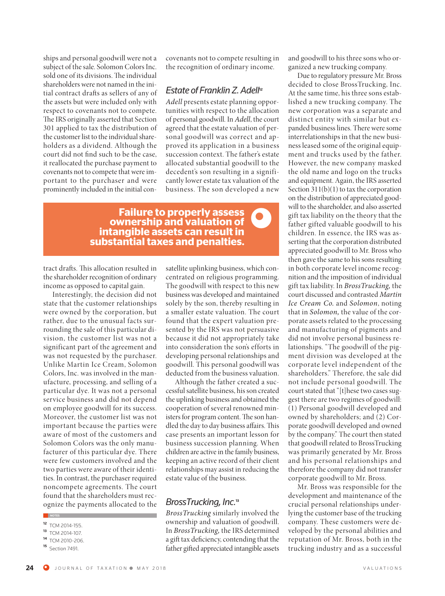ships and personal goodwill were not a subject of the sale. Solomon Colors Inc. sold one of its divisions. The individual shareholders were not named in the initial contract drafts as sellers of any of the assets but were included only with respect to covenants not to compete. The IRS originally asserted that Section 301 applied to tax the distribution of the customer list to the individual shareholders as a dividend. Although the court did not find such to be the case, it reallocated the purchase payment to covenants not to compete that were important to the purchaser and were prominently included in the initial concovenants not to compete resulting in the recognition of ordinary income.

#### *Estate of FranklinZ.Adell* **12**

*Adell* presents estate planning opportunities with respect to the allocation of personal goodwill. In *Adell*, the court agreed that the estate valuation of personal goodwill was correct and approved its application in a business succession context. The father's estate allocated substantial goodwill to the decedent's son resulting in a significantly lower estate tax valuation of the

## business. The son developed a new<br> **properly assess**<br> **and valuation of Failure to properly assess ownership and valuation of intangible assets can result in substantial taxes and penalties.**

tract drafts. This allocation resulted in the shareholder recognition of ordinary income as opposed to capital gain.

Interestingly, the decision did not state that the customer relationships were owned by the corporation, but rather, due to the unusual facts surrounding the sale of this particular division, the customer list was not a significant part of the agreement and was not requested by the purchaser. Unlike Martin Ice Cream, Solomon Colors, Inc. was involved in the manufacture, processing, and selling of a particular dye. It was not a personal service business and did not depend on employee goodwill for its success. Moreover, the customer list was not important because the parties were aware of most of the customers and Solomon Colors was the only manufacturer of this particular dye. There were few customers involved and the two parties were aware of their identities. In contrast, the purchaser required noncompete agreements. The court found that the shareholders must recognize the payments allocated to the satellite uplinking business, which concentrated on religious programming. The goodwill with respect to this new business was developed and maintained solely by the son, thereby resulting in a smaller estate valuation. The court found that the expert valuation presented by the IRS was not persuasive because it did not appropriately take into consideration the son's efforts in developing personal relationships and goodwill. This personal goodwill was deducted from the business valuation.

Although the father created a successful satellite business, his son created the uplinking business and obtained the cooperation of several renowned ministers for program content. The son handled the day to day business affairs. This case presents an important lesson for business succession planning. When children are active in the family business, keeping an active record of their client relationships may assist in reducing the estate value of the business.

#### *BrossTrucking, Inc.* **13**

*BrossTrucking* similarly involved the ownership and valuation of goodwill. In *BrossTrucking,* the IRS determined a gift tax deficiency, contending that the father gifted appreciated intangible assets

and goodwill to his three sons who organized a new trucking company.

Due to regulatory pressure Mr. Bross decided to close BrossTrucking, Inc. At the same time, his three sons established a new trucking company. The new corporation was a separate and distinct entity with similar but expanded business lines. There were some interrelationships in that the new business leased some of the original equipment and trucks used by the father. However, the new company masked the old name and logo on the trucks and equipment. Again, the IRS asserted Section  $311(b)(1)$  to tax the corporation on the distribution of appreciated goodwill to the shareholder, and also asserted gift tax liability on the theory that the father gifted valuable goodwill to his children. In essence, the IRS was asserting that the corporation distributed appreciated goodwill to Mr. Bross who then gave the same to his sons resulting in both corporate level income recognition and the imposition of individual gift tax liability. In *BrossTrucking,* the court discussed and contrasted *Martin Ice Cream Co.* and *Solomon*, noting that in *Solomon,* the value of the corporate assets related to the processing and manufacturing of pigments and did not involve personal business relationships. "The goodwill of the pigment division was developed at the corporate level independent of the shareholders." Therefore, the sale did not include personal goodwill. The court stated that "[t]hese two cases suggest there are two regimes of goodwill: (1) Personal goodwill developed and owned by shareholders; and (2) Corporate goodwill developed and owned by the company." The court then stated that goodwill related to BrossTrucking was primarily generated by Mr. Bross and his personal relationships and therefore the company did not transfer corporate goodwill to Mr. Bross.

Mr. Bross was responsible for the development and maintenance of the crucial personal relationships underlying the customer base of the trucking company. These customers were developed by the personal abilities and reputation of Mr. Bross, both in the trucking industry and as a successful

**NOTES**

**<sup>12</sup>** TCM 2014-155.

**<sup>13</sup>** TCM 2014-107.

**<sup>14</sup>** TCM 2010-206.

**<sup>15</sup>** Section 7491.